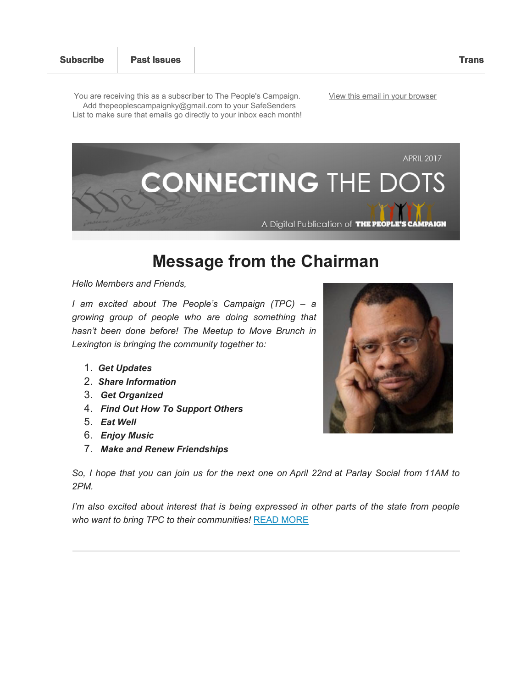You are receiving this as a subscriber to The People's Campaign. Add thepeoplescampaignky@gmail.com to your SafeSenders List to make sure that emails go directly to your inbox each month! View this email in your browser



# **Message from the Chairman**

*Hello Members and Friends,*

*I am excited about The People's Campaign (TPC) – a growing group of people who are doing something that hasn't been done before! The Meetup to Move Brunch in Lexington is bringing the community together to:*

- 1. *Get Updates*
- 2. *Share Information*
- 3. *Get Organized*
- 4. *Find Out How To Support Others*
- 5. *Eat Well*
- 6. *Enjoy Music*
- 7. *Make and Renew Friendships*



*So, I hope that you can join us for the next one on April 22nd at Parlay Social from 11AM to 2PM.*

*I'm also excited about interest that is being expressed in other parts of the state from people who want to bring TPC to their communities!* READ MORE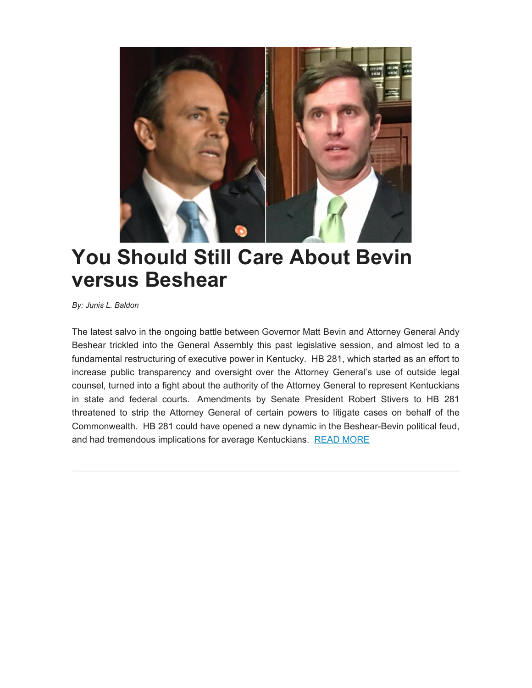

# **You Should Still Care About Bevin versus Beshear**

*By: Junis L. Baldon*

The latest salvo in the ongoing battle between Governor Matt Bevin and Attorney General Andy Beshear trickled into the General Assembly this past legislative session, and almost led to a fundamental restructuring of executive power in Kentucky. HB 281, which started as an effort to increase public transparency and oversight over the Attorney General's use of outside legal counsel, turned into a fight about the authority of the Attorney General to represent Kentuckians in state and federal courts. Amendments by Senate President Robert Stivers to HB 281 threatened to strip the Attorney General of certain powers to litigate cases on behalf of the Commonwealth. HB 281 could have opened a new dynamic in the Beshear-Bevin political feud, and had tremendous implications for average Kentuckians. READ MORE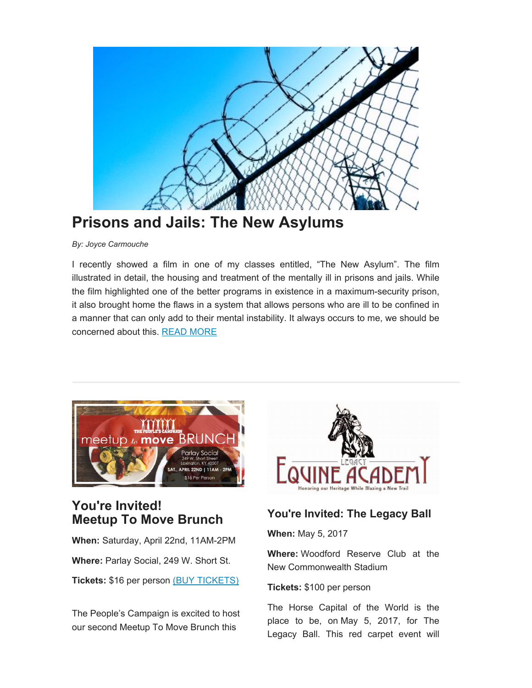

## **Prisons and Jails: The New Asylums**

*By: Joyce Carmouche*

I recently showed a film in one of my classes entitled, "The New Asylum". The film illustrated in detail, the housing and treatment of the mentally ill in prisons and jails. While the film highlighted one of the better programs in existence in a maximum-security prison, it also brought home the flaws in a system that allows persons who are ill to be confined in a manner that can only add to their mental instability. It always occurs to me, we should be concerned about this. READ MORE



## **You're Invited! Meetup To Move Brunch**

**When:** Saturday, April 22nd, 11AM-2PM

**Where:** Parlay Social, 249 W. Short St.

**Tickets:** \$16 per person (BUY TICKETS)

The People's Campaign is excited to host our second Meetup To Move Brunch this



### **You're Invited: The Legacy Ball**

**When:** May 5, 2017

**Where:** Woodford Reserve Club at the New Commonwealth Stadium

**Tickets:** \$100 per person

The Horse Capital of the World is the place to be, on May 5, 2017, for The Legacy Ball. This red carpet event will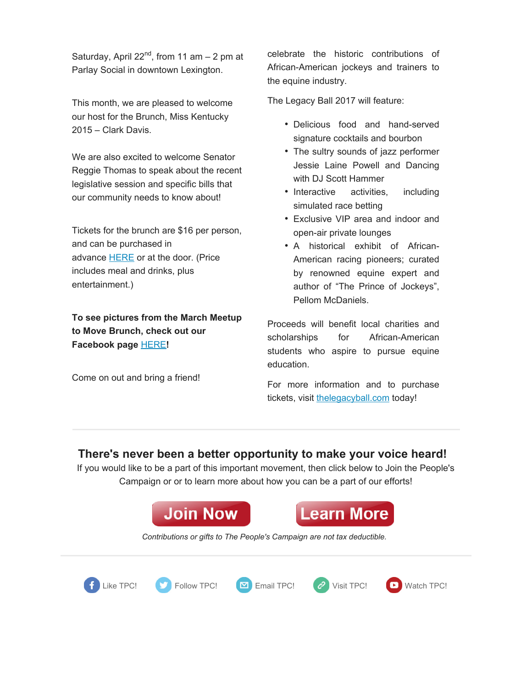Saturday, April 22<sup>nd</sup>, from 11 am  $-$  2 pm at Parlay Social in downtown Lexington.

This month, we are pleased to welcome our host for the Brunch, Miss Kentucky 2015 – Clark Davis.

We are also excited to welcome Senator Reggie Thomas to speak about the recent legislative session and specific bills that our community needs to know about!

Tickets for the brunch are \$16 per person, and can be purchased in advance **HERE** or at the door. (Price includes meal and drinks, plus entertainment.)

**To see pictures from the March Meetup to Move Brunch, check out our Facebook page** HERE**!**

Come on out and bring a friend!

celebrate the historic contributions of African-American jockeys and trainers to the equine industry.

The Legacy Ball 2017 will feature:

- Delicious food and hand-served signature cocktails and bourbon
- The sultry sounds of jazz performer Jessie Laine Powell and Dancing with DJ Scott Hammer
- Interactive activities, including simulated race betting
- Exclusive VIP area and indoor and open-air private lounges
- A historical exhibit of African-American racing pioneers; curated by renowned equine expert and author of "The Prince of Jockeys", Pellom McDaniels.

Proceeds will benefit local charities and scholarships for African-American students who aspire to pursue equine education.

For more information and to purchase tickets, visit thelegacyball.com today!

#### **There's never been a better opportunity to make your voice heard!**

If you would like to be a part of this important movement, then click below to Join the People's Campaign or or to learn more about how you can be a part of our efforts!